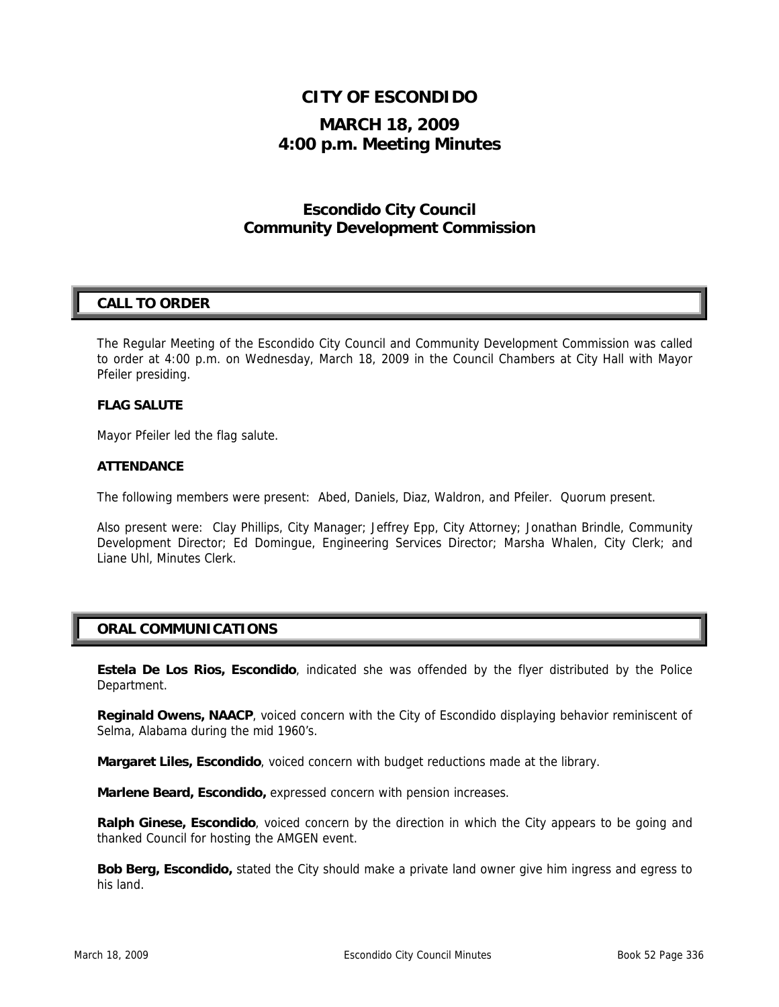# **CITY OF ESCONDIDO**

# **MARCH 18, 2009 4:00 p.m. Meeting Minutes**

# **Escondido City Council Community Development Commission**

## **CALL TO ORDER**

The Regular Meeting of the Escondido City Council and Community Development Commission was called to order at 4:00 p.m. on Wednesday, March 18, 2009 in the Council Chambers at City Hall with Mayor Pfeiler presiding.

#### **FLAG SALUTE**

Mayor Pfeiler led the flag salute.

#### **ATTENDANCE**

The following members were present: Abed, Daniels, Diaz, Waldron, and Pfeiler. Quorum present.

Also present were: Clay Phillips, City Manager; Jeffrey Epp, City Attorney; Jonathan Brindle, Community Development Director; Ed Domingue, Engineering Services Director; Marsha Whalen, City Clerk; and Liane Uhl, Minutes Clerk.

## **ORAL COMMUNICATIONS**

**Estela De Los Rios, Escondido**, indicated she was offended by the flyer distributed by the Police Department.

**Reginald Owens, NAACP**, voiced concern with the City of Escondido displaying behavior reminiscent of Selma, Alabama during the mid 1960's.

**Margaret Liles, Escondido**, voiced concern with budget reductions made at the library.

**Marlene Beard, Escondido,** expressed concern with pension increases.

**Ralph Ginese, Escondido**, voiced concern by the direction in which the City appears to be going and thanked Council for hosting the AMGEN event.

**Bob Berg, Escondido,** stated the City should make a private land owner give him ingress and egress to his land.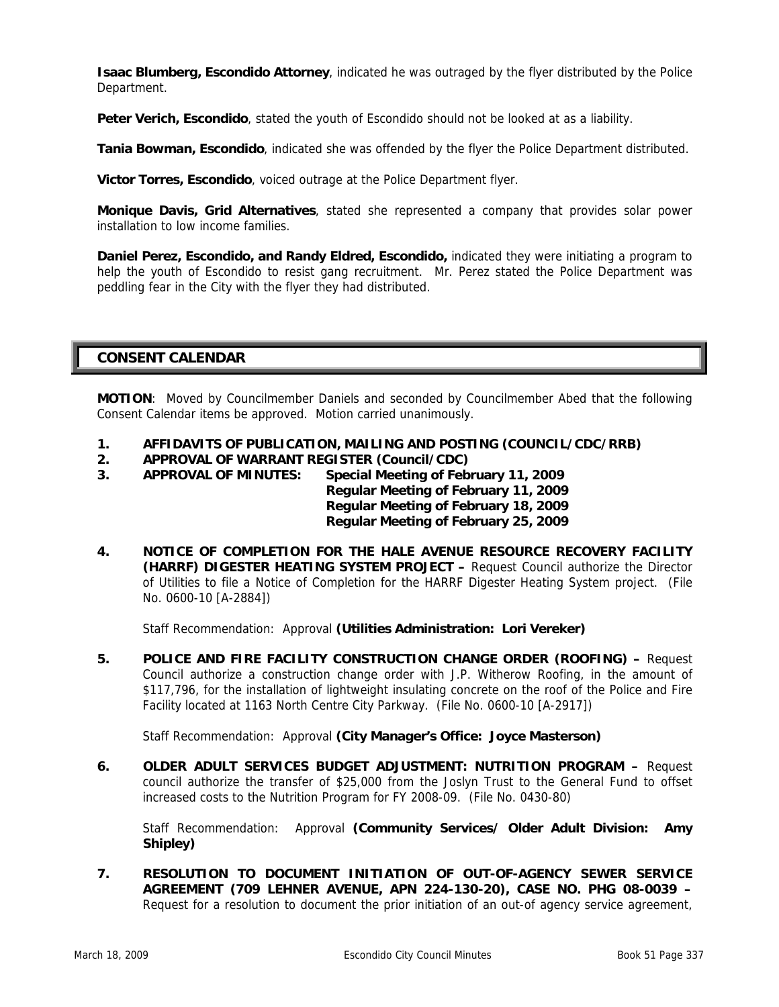**Isaac Blumberg, Escondido Attorney**, indicated he was outraged by the flyer distributed by the Police Department.

Peter Verich, Escondido, stated the youth of Escondido should not be looked at as a liability.

**Tania Bowman, Escondido**, indicated she was offended by the flyer the Police Department distributed.

**Victor Torres, Escondido**, voiced outrage at the Police Department flyer.

**Monique Davis, Grid Alternatives**, stated she represented a company that provides solar power installation to low income families.

**Daniel Perez, Escondido, and Randy Eldred, Escondido,** indicated they were initiating a program to help the youth of Escondido to resist gang recruitment. Mr. Perez stated the Police Department was peddling fear in the City with the flyer they had distributed.

### **CONSENT CALENDAR**

**MOTION**: Moved by Councilmember Daniels and seconded by Councilmember Abed that the following Consent Calendar items be approved. Motion carried unanimously.

- **1. AFFIDAVITS OF PUBLICATION, MAILING AND POSTING (COUNCIL/CDC/RRB)**
- **2. APPROVAL OF WARRANT REGISTER (Council/CDC)**
- **3. APPROVAL OF MINUTES: Special Meeting of February 11, 2009**

 **Regular Meeting of February 11, 2009 Regular Meeting of February 18, 2009 Regular Meeting of February 25, 2009** 

**4. NOTICE OF COMPLETION FOR THE HALE AVENUE RESOURCE RECOVERY FACILITY (HARRF) DIGESTER HEATING SYSTEM PROJECT –** Request Council authorize the Director of Utilities to file a Notice of Completion for the HARRF Digester Heating System project. (File No. 0600-10 [A-2884])

Staff Recommendation: Approval **(Utilities Administration: Lori Vereker)** 

**5. POLICE AND FIRE FACILITY CONSTRUCTION CHANGE ORDER (ROOFING) –** Request Council authorize a construction change order with J.P. Witherow Roofing, in the amount of \$117,796, for the installation of lightweight insulating concrete on the roof of the Police and Fire Facility located at 1163 North Centre City Parkway. (File No. 0600-10 [A-2917])

Staff Recommendation: Approval **(City Manager's Office: Joyce Masterson)** 

**6. OLDER ADULT SERVICES BUDGET ADJUSTMENT: NUTRITION PROGRAM –** Request council authorize the transfer of \$25,000 from the Joslyn Trust to the General Fund to offset increased costs to the Nutrition Program for FY 2008-09. (File No. 0430-80)

 Staff Recommendation: Approval **(Community Services/ Older Adult Division: Amy Shipley)** 

**7. RESOLUTION TO DOCUMENT INITIATION OF OUT-OF-AGENCY SEWER SERVICE AGREEMENT (709 LEHNER AVENUE, APN 224-130-20), CASE NO. PHG 08-0039 –**  Request for a resolution to document the prior initiation of an out-of agency service agreement,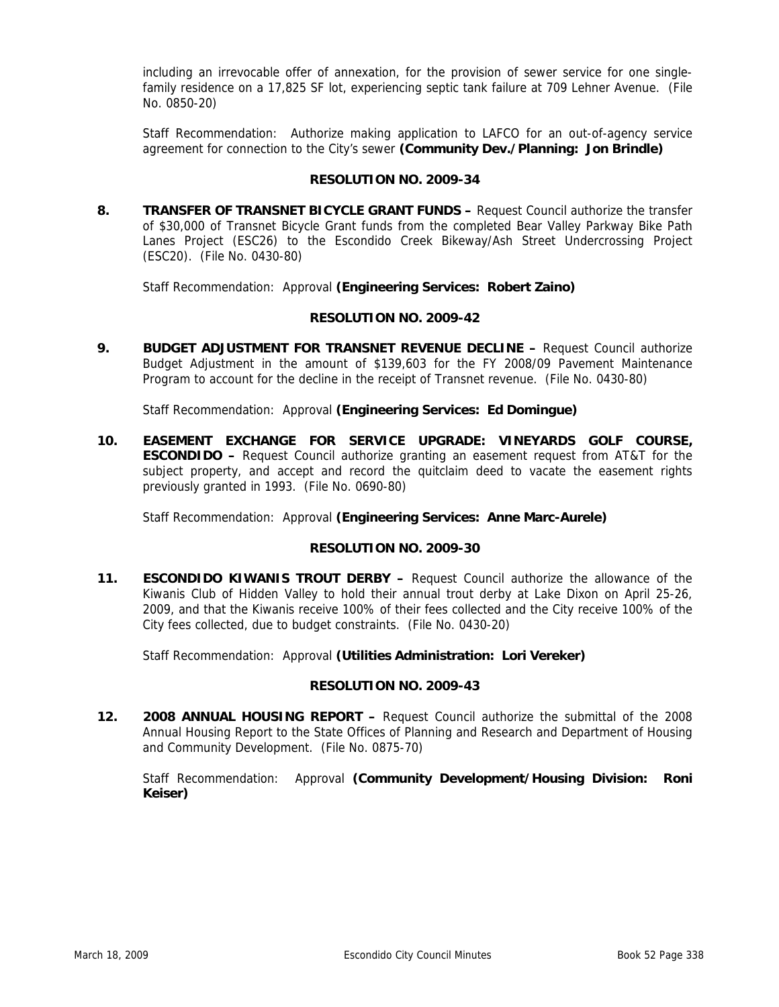including an irrevocable offer of annexation, for the provision of sewer service for one singlefamily residence on a 17,825 SF lot, experiencing septic tank failure at 709 Lehner Avenue. (File No. 0850-20)

 Staff Recommendation: Authorize making application to LAFCO for an out-of-agency service agreement for connection to the City's sewer **(Community Dev./Planning: Jon Brindle)** 

#### **RESOLUTION NO. 2009-34**

**8. TRANSFER OF TRANSNET BICYCLE GRANT FUNDS –** Request Council authorize the transfer of \$30,000 of Transnet Bicycle Grant funds from the completed Bear Valley Parkway Bike Path Lanes Project (ESC26) to the Escondido Creek Bikeway/Ash Street Undercrossing Project (ESC20). (File No. 0430-80)

Staff Recommendation: Approval **(Engineering Services: Robert Zaino)** 

#### **RESOLUTION NO. 2009-42**

**9. BUDGET ADJUSTMENT FOR TRANSNET REVENUE DECLINE - Request Council authorize** Budget Adjustment in the amount of \$139,603 for the FY 2008/09 Pavement Maintenance Program to account for the decline in the receipt of Transnet revenue. (File No. 0430-80)

Staff Recommendation: Approval **(Engineering Services: Ed Domingue)** 

**10. EASEMENT EXCHANGE FOR SERVICE UPGRADE: VINEYARDS GOLF COURSE, ESCONDIDO –** Request Council authorize granting an easement request from AT&T for the subject property, and accept and record the quitclaim deed to vacate the easement rights previously granted in 1993. (File No. 0690-80)

Staff Recommendation: Approval **(Engineering Services: Anne Marc-Aurele)** 

#### **RESOLUTION NO. 2009-30**

**11. ESCONDIDO KIWANIS TROUT DERBY –** Request Council authorize the allowance of the Kiwanis Club of Hidden Valley to hold their annual trout derby at Lake Dixon on April 25-26, 2009, and that the Kiwanis receive 100% of their fees collected and the City receive 100% of the City fees collected, due to budget constraints. (File No. 0430-20)

Staff Recommendation: Approval **(Utilities Administration: Lori Vereker)** 

#### **RESOLUTION NO. 2009-43**

**12. 2008 ANNUAL HOUSING REPORT –** Request Council authorize the submittal of the 2008 Annual Housing Report to the State Offices of Planning and Research and Department of Housing and Community Development. (File No. 0875-70)

 Staff Recommendation: Approval **(Community Development/Housing Division: Roni Keiser)**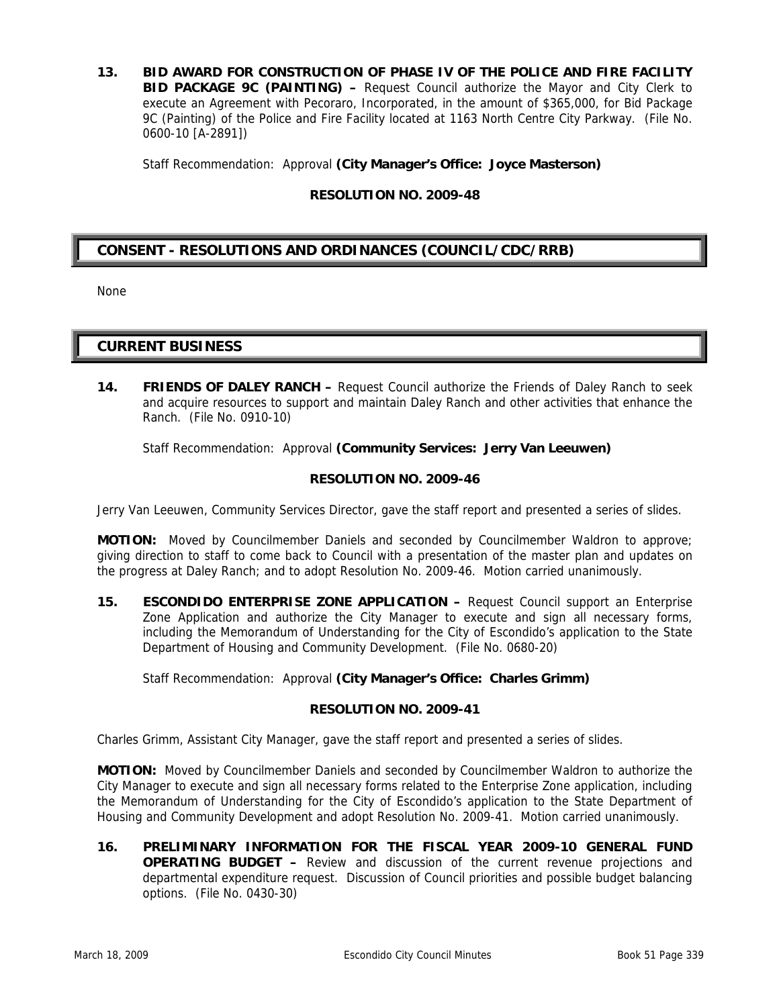**13. BID AWARD FOR CONSTRUCTION OF PHASE IV OF THE POLICE AND FIRE FACILITY BID PACKAGE 9C (PAINTING) –** Request Council authorize the Mayor and City Clerk to execute an Agreement with Pecoraro, Incorporated, in the amount of \$365,000, for Bid Package 9C (Painting) of the Police and Fire Facility located at 1163 North Centre City Parkway. (File No. 0600-10 [A-2891])

Staff Recommendation: Approval **(City Manager's Office: Joyce Masterson)** 

#### **RESOLUTION NO. 2009-48**

## **CONSENT - RESOLUTIONS AND ORDINANCES (COUNCIL/CDC/RRB)**

None

#### **CURRENT BUSINESS**

**14. FRIENDS OF DALEY RANCH –** Request Council authorize the Friends of Daley Ranch to seek and acquire resources to support and maintain Daley Ranch and other activities that enhance the Ranch. (File No. 0910-10)

Staff Recommendation: Approval **(Community Services: Jerry Van Leeuwen)** 

#### **RESOLUTION NO. 2009-46**

Jerry Van Leeuwen, Community Services Director, gave the staff report and presented a series of slides.

**MOTION:** Moved by Councilmember Daniels and seconded by Councilmember Waldron to approve; giving direction to staff to come back to Council with a presentation of the master plan and updates on the progress at Daley Ranch; and to adopt Resolution No. 2009-46. Motion carried unanimously.

**15. ESCONDIDO ENTERPRISE ZONE APPLICATION –** Request Council support an Enterprise Zone Application and authorize the City Manager to execute and sign all necessary forms, including the Memorandum of Understanding for the City of Escondido's application to the State Department of Housing and Community Development. (File No. 0680-20)

Staff Recommendation: Approval **(City Manager's Office: Charles Grimm)** 

#### **RESOLUTION NO. 2009-41**

Charles Grimm, Assistant City Manager, gave the staff report and presented a series of slides.

**MOTION:** Moved by Councilmember Daniels and seconded by Councilmember Waldron to authorize the City Manager to execute and sign all necessary forms related to the Enterprise Zone application, including the Memorandum of Understanding for the City of Escondido's application to the State Department of Housing and Community Development and adopt Resolution No. 2009-41. Motion carried unanimously.

**16. PRELIMINARY INFORMATION FOR THE FISCAL YEAR 2009-10 GENERAL FUND OPERATING BUDGET –** Review and discussion of the current revenue projections and departmental expenditure request. Discussion of Council priorities and possible budget balancing options. (File No. 0430-30)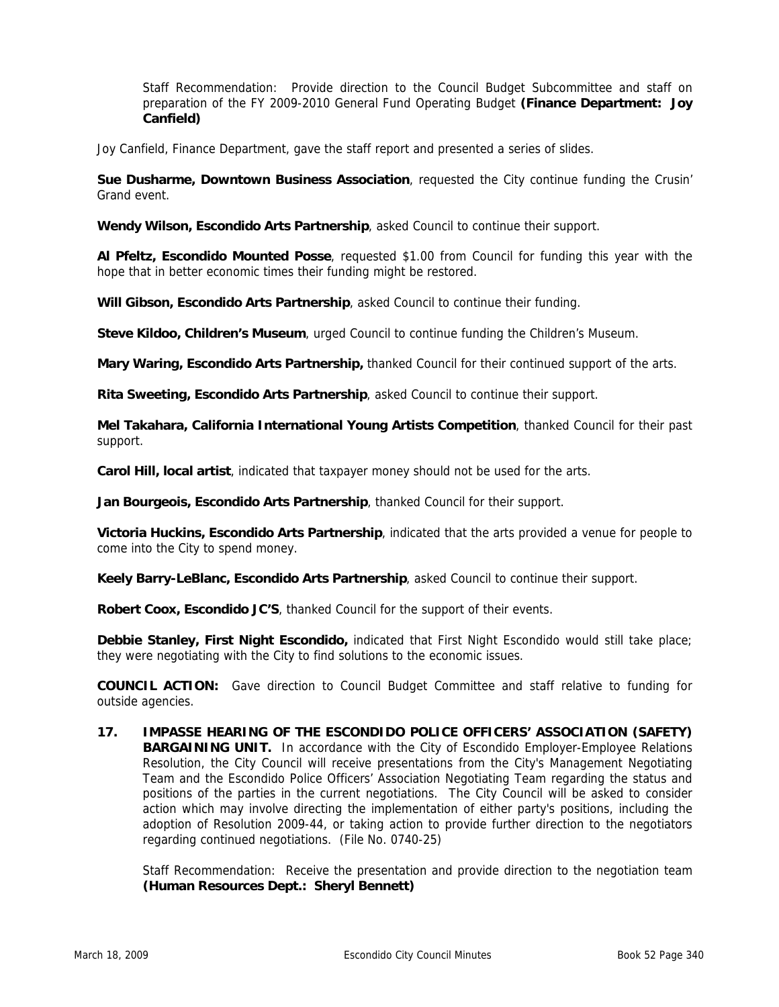Staff Recommendation: Provide direction to the Council Budget Subcommittee and staff on preparation of the FY 2009-2010 General Fund Operating Budget **(Finance Department: Joy Canfield)** 

Joy Canfield, Finance Department, gave the staff report and presented a series of slides.

**Sue Dusharme, Downtown Business Association**, requested the City continue funding the Crusin' Grand event.

**Wendy Wilson, Escondido Arts Partnership**, asked Council to continue their support.

**Al Pfeltz, Escondido Mounted Posse**, requested \$1.00 from Council for funding this year with the hope that in better economic times their funding might be restored.

**Will Gibson, Escondido Arts Partnership**, asked Council to continue their funding.

**Steve Kildoo, Children's Museum**, urged Council to continue funding the Children's Museum.

**Mary Waring, Escondido Arts Partnership,** thanked Council for their continued support of the arts.

**Rita Sweeting, Escondido Arts Partnership**, asked Council to continue their support.

**Mel Takahara, California International Young Artists Competition**, thanked Council for their past support.

**Carol Hill, local artist**, indicated that taxpayer money should not be used for the arts.

**Jan Bourgeois, Escondido Arts Partnership**, thanked Council for their support.

**Victoria Huckins, Escondido Arts Partnership**, indicated that the arts provided a venue for people to come into the City to spend money.

**Keely Barry-LeBlanc, Escondido Arts Partnership**, asked Council to continue their support.

**Robert Coox, Escondido JC'S**, thanked Council for the support of their events.

**Debbie Stanley, First Night Escondido,** indicated that First Night Escondido would still take place; they were negotiating with the City to find solutions to the economic issues.

**COUNCIL ACTION:** Gave direction to Council Budget Committee and staff relative to funding for outside agencies.

**17. IMPASSE HEARING OF THE ESCONDIDO POLICE OFFICERS' ASSOCIATION (SAFETY) BARGAINING UNIT.** In accordance with the City of Escondido Employer-Employee Relations Resolution, the City Council will receive presentations from the City's Management Negotiating Team and the Escondido Police Officers' Association Negotiating Team regarding the status and positions of the parties in the current negotiations. The City Council will be asked to consider action which may involve directing the implementation of either party's positions, including the adoption of Resolution 2009-44, or taking action to provide further direction to the negotiators regarding continued negotiations. (File No. 0740-25)

 Staff Recommendation: Receive the presentation and provide direction to the negotiation team **(Human Resources Dept.: Sheryl Bennett)**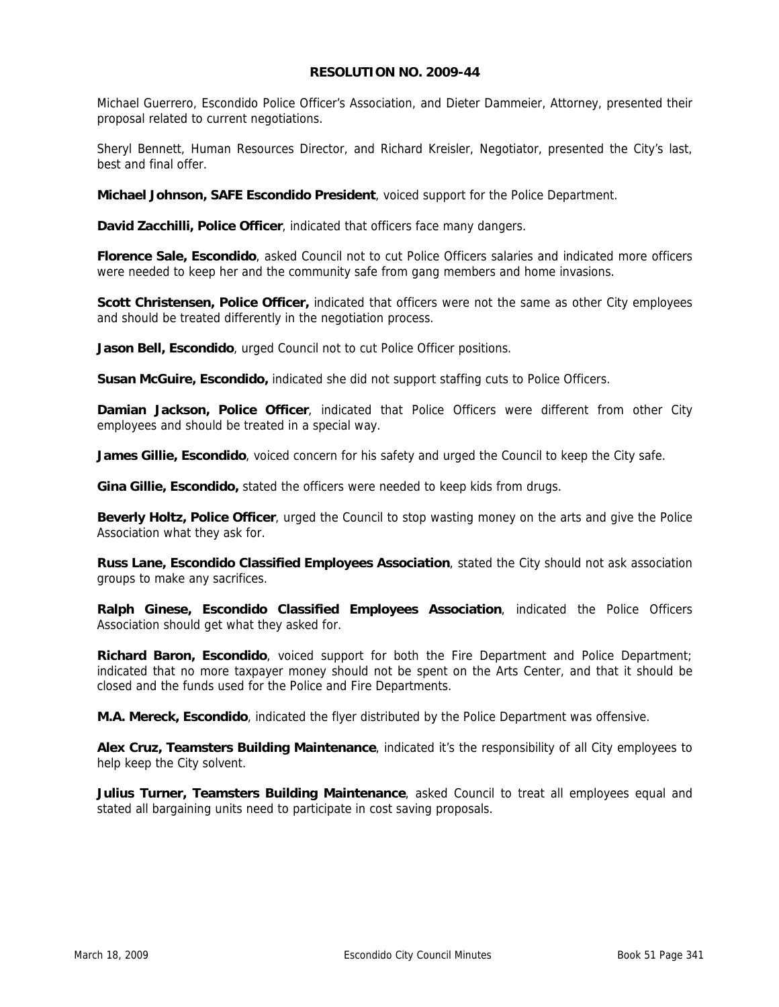#### **RESOLUTION NO. 2009-44**

Michael Guerrero, Escondido Police Officer's Association, and Dieter Dammeier, Attorney, presented their proposal related to current negotiations.

Sheryl Bennett, Human Resources Director, and Richard Kreisler, Negotiator, presented the City's last, best and final offer.

**Michael Johnson, SAFE Escondido President**, voiced support for the Police Department.

**David Zacchilli, Police Officer**, indicated that officers face many dangers.

**Florence Sale, Escondido**, asked Council not to cut Police Officers salaries and indicated more officers were needed to keep her and the community safe from gang members and home invasions.

**Scott Christensen, Police Officer,** indicated that officers were not the same as other City employees and should be treated differently in the negotiation process.

**Jason Bell, Escondido**, urged Council not to cut Police Officer positions.

**Susan McGuire, Escondido,** indicated she did not support staffing cuts to Police Officers.

**Damian Jackson, Police Officer**, indicated that Police Officers were different from other City employees and should be treated in a special way.

**James Gillie, Escondido**, voiced concern for his safety and urged the Council to keep the City safe.

**Gina Gillie, Escondido,** stated the officers were needed to keep kids from drugs.

**Beverly Holtz, Police Officer**, urged the Council to stop wasting money on the arts and give the Police Association what they ask for.

**Russ Lane, Escondido Classified Employees Association**, stated the City should not ask association groups to make any sacrifices.

**Ralph Ginese, Escondido Classified Employees Association**, indicated the Police Officers Association should get what they asked for.

**Richard Baron, Escondido**, voiced support for both the Fire Department and Police Department; indicated that no more taxpayer money should not be spent on the Arts Center, and that it should be closed and the funds used for the Police and Fire Departments.

**M.A. Mereck, Escondido**, indicated the flyer distributed by the Police Department was offensive.

**Alex Cruz, Teamsters Building Maintenance**, indicated it's the responsibility of all City employees to help keep the City solvent.

**Julius Turner, Teamsters Building Maintenance**, asked Council to treat all employees equal and stated all bargaining units need to participate in cost saving proposals.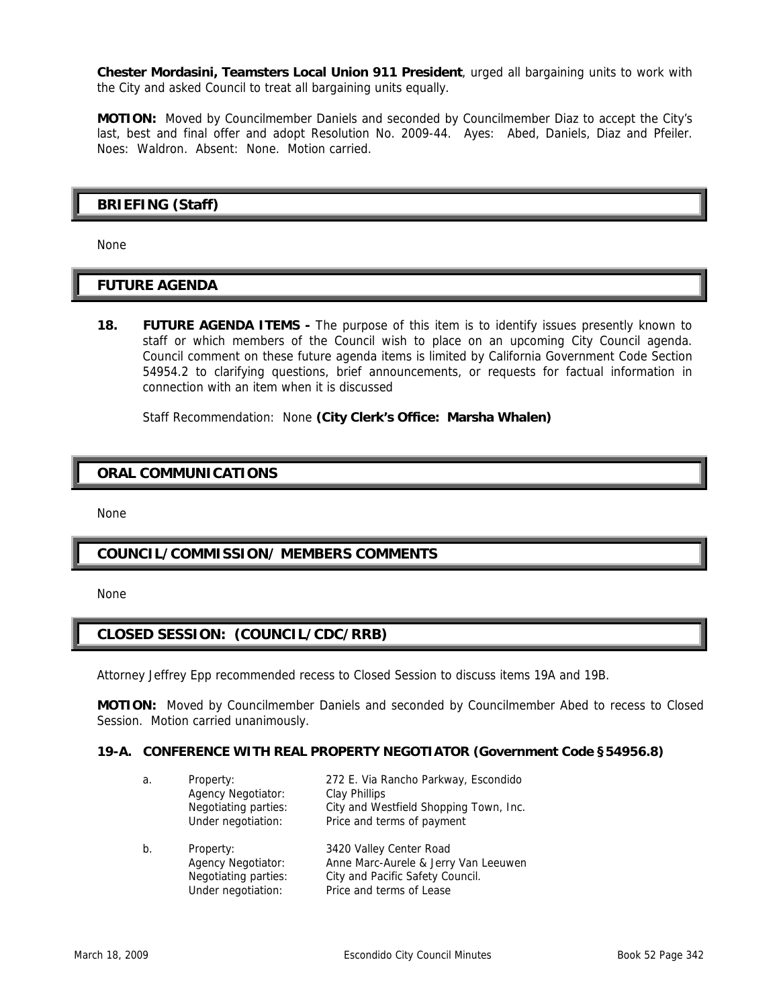**Chester Mordasini, Teamsters Local Union 911 President**, urged all bargaining units to work with the City and asked Council to treat all bargaining units equally.

**MOTION:** Moved by Councilmember Daniels and seconded by Councilmember Diaz to accept the City's last, best and final offer and adopt Resolution No. 2009-44. Ayes: Abed, Daniels, Diaz and Pfeiler. Noes: Waldron. Absent: None. Motion carried.

### **BRIEFING (Staff)**

None

### **FUTURE AGENDA**

**18. FUTURE AGENDA ITEMS** - The purpose of this item is to identify issues presently known to staff or which members of the Council wish to place on an upcoming City Council agenda. Council comment on these future agenda items is limited by California Government Code Section 54954.2 to clarifying questions, brief announcements, or requests for factual information in connection with an item when it is discussed

Staff Recommendation: None **(City Clerk's Office: Marsha Whalen)** 

### **ORAL COMMUNICATIONS**

None

### **COUNCIL/COMMISSION/ MEMBERS COMMENTS**

None

### **CLOSED SESSION: (COUNCIL/CDC/RRB)**

Attorney Jeffrey Epp recommended recess to Closed Session to discuss items 19A and 19B.

**MOTION:** Moved by Councilmember Daniels and seconded by Councilmember Abed to recess to Closed Session. Motion carried unanimously.

#### **19-A. CONFERENCE WITH REAL PROPERTY NEGOTIATOR (Government Code §54956.8)**

| а.    | Property:<br><b>Agency Negotiator:</b><br>Negotiating parties:<br>Under negotiation: | 272 E. Via Rancho Parkway, Escondido<br>Clay Phillips<br>City and Westfield Shopping Town, Inc.<br>Price and terms of payment   |
|-------|--------------------------------------------------------------------------------------|---------------------------------------------------------------------------------------------------------------------------------|
| $b$ . | Property:<br><b>Agency Negotiator:</b><br>Negotiating parties:<br>Under negotiation: | 3420 Valley Center Road<br>Anne Marc-Aurele & Jerry Van Leeuwen<br>City and Pacific Safety Council.<br>Price and terms of Lease |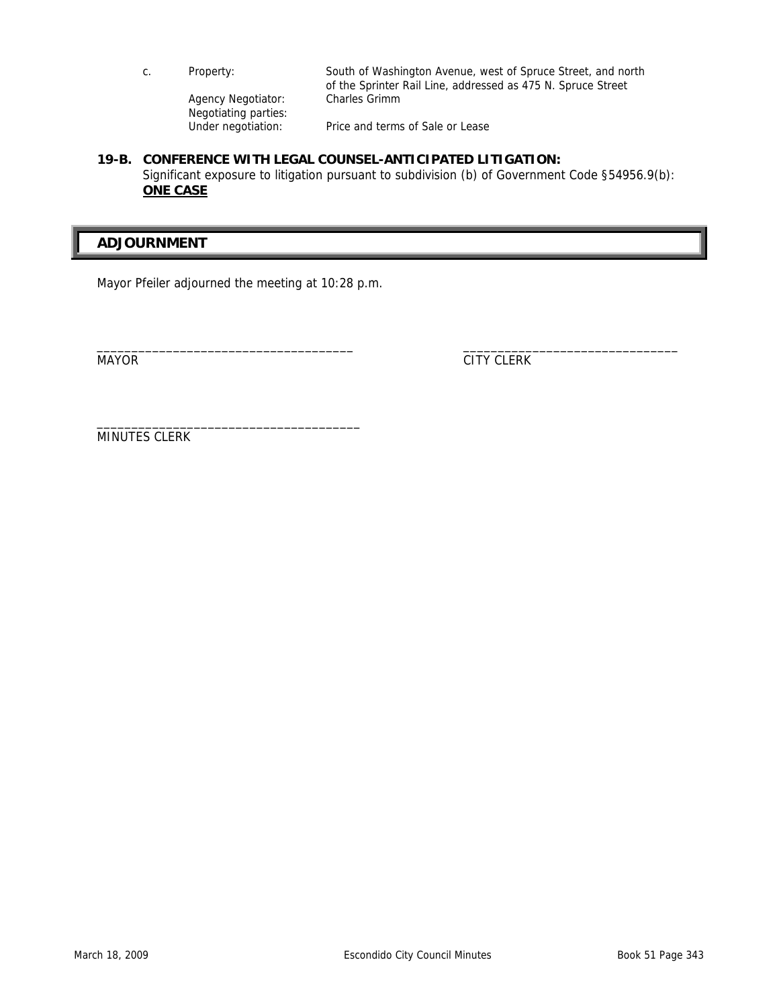| C. | Property:                                  | South of Washington Avenue, west of Spruce Street, and north<br>of the Sprinter Rail Line, addressed as 475 N. Spruce Street |
|----|--------------------------------------------|------------------------------------------------------------------------------------------------------------------------------|
|    | Agency Negotiator:<br>Negotiating parties: | Charles Grimm                                                                                                                |
|    | Under negotiation:                         | Price and terms of Sale or Lease                                                                                             |

#### **19-B. CONFERENCE WITH LEGAL COUNSEL-ANTICIPATED LITIGATION:**  Significant exposure to litigation pursuant to subdivision (b) of Government Code §54956.9(b): **ONE CASE**

# **ADJOURNMENT**

Mayor Pfeiler adjourned the meeting at 10:28 p.m.

\_\_\_\_\_\_\_\_\_\_\_\_\_\_\_\_\_\_\_\_\_\_\_\_\_\_\_\_\_\_\_\_\_\_\_\_\_\_

\_\_\_\_\_\_\_\_\_\_\_\_\_\_\_\_\_\_\_\_\_\_\_\_\_\_\_\_\_\_\_\_\_\_\_\_\_ \_\_\_\_\_\_\_\_\_\_\_\_\_\_\_\_\_\_\_\_\_\_\_\_\_\_\_\_\_\_\_ MAYOR CITY CLERK

MINUTES CLERK